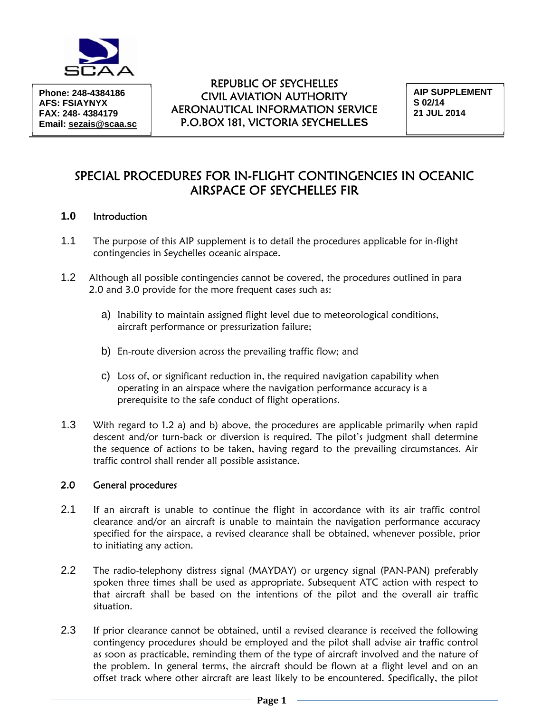

**Phone: 248-4384186 AFS: FSIAYNYX FAX: 248- 4384179 Email: sezais@scaa.sc** 

## REPUBLIC OF SEYCHELLES CIVIL AVIATION AUTHORITY AERONAUTICAL INFORMATION SERVICE P.O.BOX 181, VICTORIA SEYC**HELLES**

**AIP SUPPLEMENT S 02/14 21 JUL 2014** 

# SPECIAL PROCEDURES FOR IN-FLIGHT CONTINGENCIES IN OCEANIC AIRSPACE OF SEYCHELLES FIR

## **1.0** Introduction

- 1.1 The purpose of this AIP supplement is to detail the procedures applicable for in-flight contingencies in Seychelles oceanic airspace.
- 1.2 Although all possible contingencies cannot be covered, the procedures outlined in para 2.0 and 3.0 provide for the more frequent cases such as:
	- a) Inability to maintain assigned flight level due to meteorological conditions, aircraft performance or pressurization failure;
	- b) En-route diversion across the prevailing traffic flow; and
	- c) Loss of, or significant reduction in, the required navigation capability when operating in an airspace where the navigation performance accuracy is a prerequisite to the safe conduct of flight operations.
- 1.3 With regard to 1.2 a) and b) above, the procedures are applicable primarily when rapid descent and/or turn-back or diversion is required. The pilot's judgment shall determine the sequence of actions to be taken, having regard to the prevailing circumstances. Air traffic control shall render all possible assistance.

#### 2.0 General procedures

- 2.1 If an aircraft is unable to continue the flight in accordance with its air traffic control clearance and/or an aircraft is unable to maintain the navigation performance accuracy specified for the airspace, a revised clearance shall be obtained, whenever possible, prior to initiating any action.
- 2.2 The radio-telephony distress signal (MAYDAY) or urgency signal (PAN-PAN) preferably spoken three times shall be used as appropriate. Subsequent ATC action with respect to that aircraft shall be based on the intentions of the pilot and the overall air traffic situation.
- 2.3 If prior clearance cannot be obtained, until a revised clearance is received the following contingency procedures should be employed and the pilot shall advise air traffic control as soon as practicable, reminding them of the type of aircraft involved and the nature of the problem. In general terms, the aircraft should be flown at a flight level and on an offset track where other aircraft are least likely to be encountered. Specifically, the pilot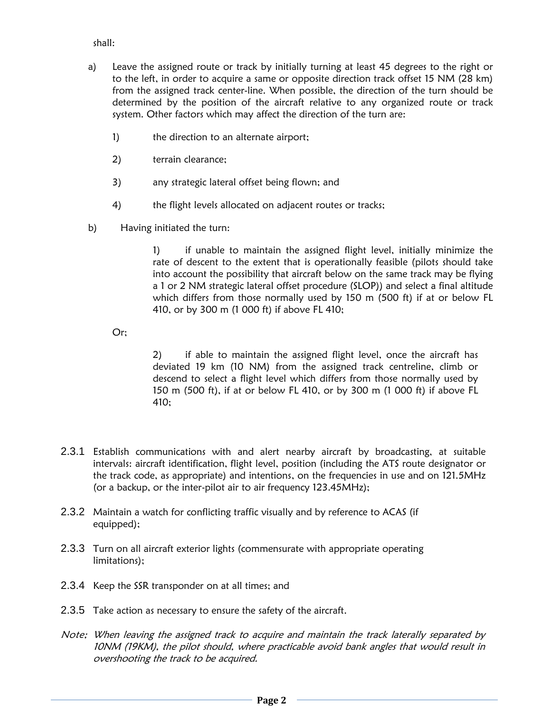### shall:

- a) Leave the assigned route or track by initially turning at least 45 degrees to the right or to the left, in order to acquire a same or opposite direction track offset 15 NM (28 km) from the assigned track center-line. When possible, the direction of the turn should be determined by the position of the aircraft relative to any organized route or track system. Other factors which may affect the direction of the turn are:
	- 1) the direction to an alternate airport;
	- 2) terrain clearance;
	- 3) any strategic lateral offset being flown; and
	- 4) the flight levels allocated on adjacent routes or tracks;
- b) Having initiated the turn:

1) if unable to maintain the assigned flight level, initially minimize the rate of descent to the extent that is operationally feasible (pilots should take into account the possibility that aircraft below on the same track may be flying a 1 or 2 NM strategic lateral offset procedure (SLOP)) and select a final altitude which differs from those normally used by 150 m (500 ft) if at or below FL 410, or by 300 m (1 000 ft) if above FL 410;

Or;

 2) if able to maintain the assigned flight level, once the aircraft has deviated 19 km (10 NM) from the assigned track centreline, climb or descend to select a flight level which differs from those normally used by 150 m (500 ft), if at or below FL 410, or by 300 m (1 000 ft) if above FL 410;

- 2.3.1 Establish communications with and alert nearby aircraft by broadcasting, at suitable intervals: aircraft identification, flight level, position (including the ATS route designator or the track code, as appropriate) and intentions, on the frequencies in use and on 121.5MHz (or a backup, or the inter-pilot air to air frequency 123.45MHz);
- 2.3.2 Maintain a watch for conflicting traffic visually and by reference to ACAS (if equipped);
- 2.3.3 Turn on all aircraft exterior lights (commensurate with appropriate operating limitations);
- 2.3.4 Keep the SSR transponder on at all times; and
- 2.3.5 Take action as necessary to ensure the safety of the aircraft.
- Note; When leaving the assigned track to acquire and maintain the track laterally separated by 10NM (19KM), the pilot should, where practicable avoid bank angles that would result in overshooting the track to be acquired.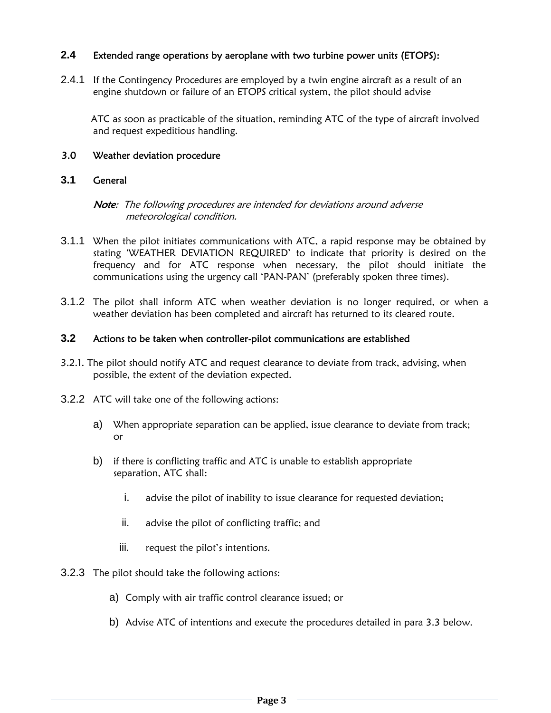## **2.4** Extended range operations by aeroplane with two turbine power units (ETOPS):

2.4.1 If the Contingency Procedures are employed by a twin engine aircraft as a result of an engine shutdown or failure of an ETOPS critical system, the pilot should advise

 ATC as soon as practicable of the situation, reminding ATC of the type of aircraft involved and request expeditious handling.

### 3.0 Weather deviation procedure

### **3.1** General

#### Note: The following procedures are intended for deviations around adverse meteorological condition.

- 3.1.1 When the pilot initiates communications with ATC, a rapid response may be obtained by stating 'WEATHER DEVIATION REQUIRED' to indicate that priority is desired on the frequency and for ATC response when necessary, the pilot should initiate the communications using the urgency call 'PAN-PAN' (preferably spoken three times).
- 3.1.2 The pilot shall inform ATC when weather deviation is no longer required, or when a weather deviation has been completed and aircraft has returned to its cleared route.

#### **3.2** Actions to be taken when controller-pilot communications are established

- 3.2.1. The pilot should notify ATC and request clearance to deviate from track, advising, when possible, the extent of the deviation expected.
- 3.2.2 ATC will take one of the following actions:
	- a) When appropriate separation can be applied, issue clearance to deviate from track; or
	- b) if there is conflicting traffic and ATC is unable to establish appropriate separation, ATC shall:
		- i. advise the pilot of inability to issue clearance for requested deviation;
		- ii. advise the pilot of conflicting traffic; and
		- iii. request the pilot's intentions.
- 3.2.3 The pilot should take the following actions:
	- a) Comply with air traffic control clearance issued; or
	- b) Advise ATC of intentions and execute the procedures detailed in para 3.3 below.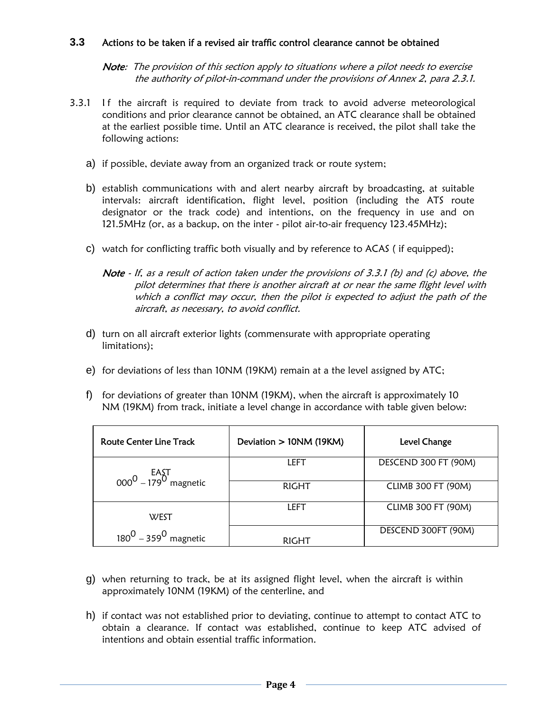### **3.3** Actions to be taken if a revised air traffic control clearance cannot be obtained

Note: The provision of this section apply to situations where a pilot needs to exercise the authority of pilot-in-command under the provisions of Annex 2, para 2.3.1.

- 3.3.1 If the aircraft is required to deviate from track to avoid adverse meteorological conditions and prior clearance cannot be obtained, an ATC clearance shall be obtained at the earliest possible time. Until an ATC clearance is received, the pilot shall take the following actions:
	- a) if possible, deviate away from an organized track or route system;
	- b) establish communications with and alert nearby aircraft by broadcasting, at suitable intervals: aircraft identification, flight level, position (including the ATS route designator or the track code) and intentions, on the frequency in use and on 121.5MHz (or, as a backup, on the inter - pilot air-to-air frequency 123.45MHz);
	- c) watch for conflicting traffic both visually and by reference to ACAS ( if equipped);
		- Note If, as a result of action taken under the provisions of 3.3.1 (b) and (c) above, the pilot determines that there is another aircraft at or near the same flight level with which a conflict may occur, then the pilot is expected to adjust the path of the aircraft, as necessary, to avoid conflict.
	- d) turn on all aircraft exterior lights (commensurate with appropriate operating limitations);
	- e) for deviations of less than 10NM (19KM) remain at a the level assigned by ATC;
	- f) for deviations of greater than 10NM (19KM), when the aircraft is approximately 10 NM (19KM) from track, initiate a level change in accordance with table given below:

| <b>Route Center Line Track</b>              | Deviation > 10NM (19KM) | Level Change              |
|---------------------------------------------|-------------------------|---------------------------|
| $\frac{\text{EAST}}{00000 - 1790}$ magnetic | LEFT                    | DESCEND 300 FT (90M)      |
|                                             | <b>RIGHT</b>            | <b>CLIMB 300 FT (90M)</b> |
| WEST                                        | LEFT                    | <b>CLIMB 300 FT (90M)</b> |
| $180^{0} - 359^{0}$ magnetic                | RIGHT                   | DESCEND 300FT (90M)       |

- g) when returning to track, be at its assigned flight level, when the aircraft is within approximately 10NM (19KM) of the centerline, and
- h) if contact was not established prior to deviating, continue to attempt to contact ATC to obtain a clearance. If contact was established, continue to keep ATC advised of intentions and obtain essential traffic information.